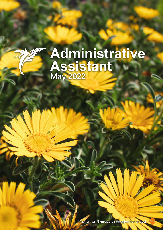# **Administrative Assistant** May 2022

[Mae fersiwn Gymraeg o'r ddogfen hon ar gael](https://botanicgarden.wales/wp-content/uploads/2022/05/Cynorthwyydd-Gweinyddol-Mai-2022-V1.pdf)

May 2022 1 of 5 and 5 and 5 and 5 and 5 and 5 and 5 and 5 and 5 and 5 and 5 and 5 and 5 and 5 and 5 and 5 and 5 and 5 and 5 and 5 and 5 and 5 and 5 and 5 and 5 and 5 and 5 and 5 and 5 and 5 and 5 and 5 and 5 and 5 and 5 an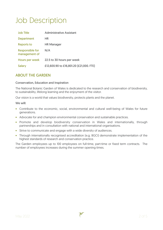# Job Description

| <b>Job Title</b>                        | <b>Administrative Assistant</b>         |
|-----------------------------------------|-----------------------------------------|
| <b>Department</b>                       | HR                                      |
| <b>Reports to</b>                       | <b>HR Manager</b>                       |
| <b>Responsible for</b><br>management of | N/A                                     |
| Hours per week                          | 22.5 to 30 hours per week               |
| <b>Salary</b>                           | £12,600.90 to £16,801.20 [£21,000. FTE] |

## ABOUT THE GARDEN

#### Conservation, Education and Inspiration

The National Botanic Garden of Wales is dedicated to the research and conservation of biodiversity, to sustainability, lifelong learning and the enjoyment of the visitor.

Our vision is a world that values biodiversity, protects plants and the planet.

#### We will:

- Contribute to the economic, social, environmental and cultural well-being of Wales for future generations.
- Advocate for and champion environmental conservation and sustainable practices.
- Promote and develop biodiversity conservation in Wales and internationally, through partnerships and in consultation with national and international organisations.
- Strive to communicate and engage with a wide diversity of audiences.
- Through internationally recognised accreditation (e.g. BGCI) demonstrate implementation of the highest standards of research and conservation practice.

The Garden employees up to 100 employees on full-time, part-time or fixed term contracts. The number of employees increases during the summer opening times.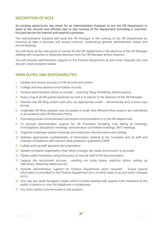### DESCRIPTION OF ROLE

An exciting opportunity has arisen for an Administration Assistant to join the HR Department to assist in the smooth and efficient day to day running of the Department providing a customerfocused service for internal and external customers.

The Administrative Assistant will assist the HR Manager in the running of the HR Department by ensuring all data is accurate and stored correctly, undertaking general administration duties and record keeping.

You will serve as the main point of contact for the HR Department in the absence of the HR Manager dealing with enquiries or obtaining direction from the HR Manager where required.

You will provide administration support to the Finance Department as and when required and one day per week reception duties.

#### MAIN DUTIES AND RESPONSIBILITIES

- 1. Update and ensure accuracy of HR records and system.
- 2. Collage sickness absence and holiday records.
- 3. General administration duties to include scanning, filing, shredding, photocopying.
- 4. Keep a log of all HR queries received via mail or in person in the absence of the HR Manager.
- 5. Maintain the HR filing system and carry out appropriate audits electronically and in hard copy format.
- 6. Undertake HR filing regularly and accurately in order that effective filing systems are maintained in accordance with HR Retention Policy.
- 7. Processing email communication and postal communication in to the HR Department.
- 8. To provide administration support for HR Processes including note taking at meetings, investigations, disciplinary meetings, remuneration committee meetings, SMT meetings.
- 9. Organise employee update meetings and employee internal events and training.
- 10. Maintain appropriate confidentiality of information relating to the Company and its staff and maintain compliance with relevant data protection legislation/GDPR.
- 11. Collate and log staff appraisal documentation.
- 12. Update company organisation chart when changes are made and ensure it is accurate.
- 13. Obtain welsh translation using third party or internal staff of HR documentation.
- 14. Support the recruitment process sending out invite letters, rejection letters, setting up interviews, obtaining references etc.
- 15. General administrative support for Finance Department when required. Ensure payroll information is provided to the Finance Department on a monthly basis or as and when changes occur.
- 16. One day per week Reception duties which includes dealing with queries from members of the public in person or over the telephone or employees.
- 17. Any other duties commensurate to the position.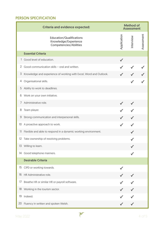# PERSON SPECIFICATION

| <b>Criteria and evidence expected:</b> |                                                                                          | <b>Method of</b><br><b>Assessment</b> |          |            |
|----------------------------------------|------------------------------------------------------------------------------------------|---------------------------------------|----------|------------|
|                                        | <b>Education/Qualifications</b><br>Knowledge/Experience<br><b>Competencies/Abilities</b> | Application                           | nterview | Assessment |
|                                        | <b>Essential Criteria</b>                                                                |                                       |          |            |
|                                        | 1 Good level of education.                                                               |                                       |          |            |
| $\overline{2}$                         | Good communication skills - oral and written.                                            |                                       |          |            |
| 3                                      | Knowledge and experience of working with Excel, Word and Outlook.                        |                                       |          |            |
| 4                                      | Organisational skills.                                                                   |                                       |          |            |
| 5                                      | Ability to work to deadlines.                                                            |                                       |          |            |
| 6                                      | Work on your own initiative.                                                             |                                       |          |            |
|                                        | 7 Administrative role.                                                                   |                                       |          |            |
| 8                                      | Team player.                                                                             |                                       |          |            |
| 9                                      | Strong communication and interpersonal skills.                                           |                                       |          |            |
| 10                                     | A proactive approach to work.                                                            |                                       |          |            |
|                                        | 11 Flexible and able to respond in a dynamic working environment.                        |                                       |          |            |
|                                        | 12 Take ownership of resolving problems.                                                 |                                       |          |            |
|                                        | 13 Willing to learn.                                                                     |                                       |          |            |
| 14                                     | Good telephone manners.                                                                  |                                       |          |            |
|                                        | <b>Desirable Criteria</b>                                                                |                                       |          |            |
| 15                                     | CIPD or working towards.                                                                 |                                       |          |            |
| 16                                     | HR Administrative role.                                                                  |                                       |          |            |
| 17                                     | Breathe HR or similar HR or payroll software.                                            |                                       |          |            |
|                                        | 18 Working in the tourism sector.                                                        |                                       |          |            |
| 19                                     | Indeed.                                                                                  |                                       |          |            |
| 20                                     | Fluency in written and spoken Welsh.                                                     |                                       |          |            |